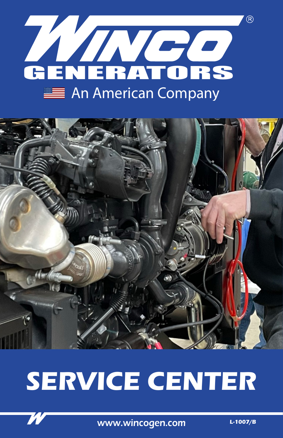



# **SERVICE CENTER**



www.wincogen.com

 $L-1007/B$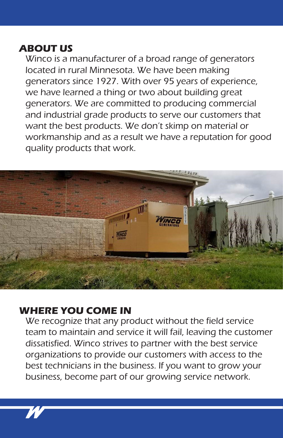## **ABOUT US**

Winco is a manufacturer of a broad range of generators located in rural Minnesota. We have been making generators since 1927. With over 95 years of experience, we have learned a thing or two about building great generators. We are committed to producing commercial and industrial grade products to serve our customers that want the best products. We don't skimp on material or workmanship and as a result we have a reputation for good quality products that work.



### **WHERE YOU COME IN**

We recognize that any product without the field service team to maintain and service it will fail, leaving the customer dissatisfied. Winco strives to partner with the best service organizations to provide our customers with access to the best technicians in the business. If you want to grow your business, become part of our growing service network.

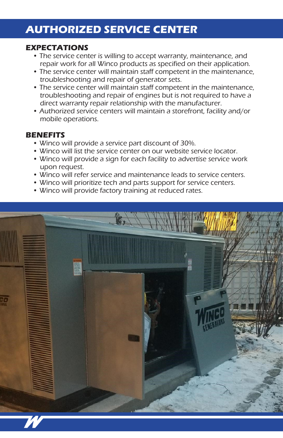# **AUTHORIZED SERVICE CENTER**

#### **EXPECTATIONS**

- The service center is willing to accept warranty, maintenance, and repair work for all Winco products as specified on their application.
- The service center will maintain staff competent in the maintenance, troubleshooting and repair of generator sets.
- The service center will maintain staff competent in the maintenance, troubleshooting and repair of engines but is not required to have a direct warranty repair relationship with the manufacturer.
- Authorized service centers will maintain a storefront, facility and/or mobile operations.

#### **BENEFITS**

- Winco will provide a service part discount of 30%.
- Winco will list the service center on our website service locator.
- Winco will provide a sign for each facility to advertise service work upon request.
- Winco will refer service and maintenance leads to service centers.
- Winco will prioritize tech and parts support for service centers.
- Winco will provide factory training at reduced rates.